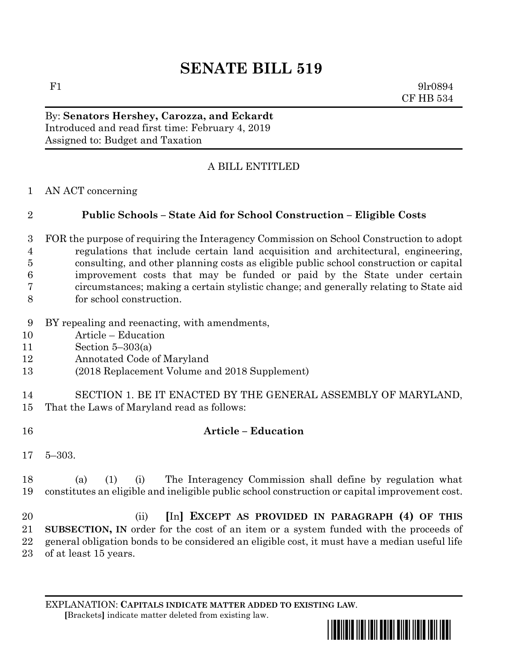## **SENATE BILL 519**

F1 9lr0894 CF HB 534

By: **Senators Hershey, Carozza, and Eckardt** Introduced and read first time: February 4, 2019 Assigned to: Budget and Taxation

## A BILL ENTITLED

AN ACT concerning

## **Public Schools – State Aid for School Construction – Eligible Costs**

- FOR the purpose of requiring the Interagency Commission on School Construction to adopt regulations that include certain land acquisition and architectural, engineering, consulting, and other planning costs as eligible public school construction or capital improvement costs that may be funded or paid by the State under certain circumstances; making a certain stylistic change; and generally relating to State aid for school construction.
- BY repealing and reenacting, with amendments,
- Article Education
- Section 5–303(a)
- Annotated Code of Maryland
- (2018 Replacement Volume and 2018 Supplement)
- SECTION 1. BE IT ENACTED BY THE GENERAL ASSEMBLY OF MARYLAND, That the Laws of Maryland read as follows:
- **Article – Education**
- 5–303.

 (a) (1) (i) The Interagency Commission shall define by regulation what constitutes an eligible and ineligible public school construction or capital improvement cost.

 (ii) **[**In**] EXCEPT AS PROVIDED IN PARAGRAPH (4) OF THIS SUBSECTION, IN** order for the cost of an item or a system funded with the proceeds of general obligation bonds to be considered an eligible cost, it must have a median useful life of at least 15 years.

EXPLANATION: **CAPITALS INDICATE MATTER ADDED TO EXISTING LAW**.  **[**Brackets**]** indicate matter deleted from existing law.